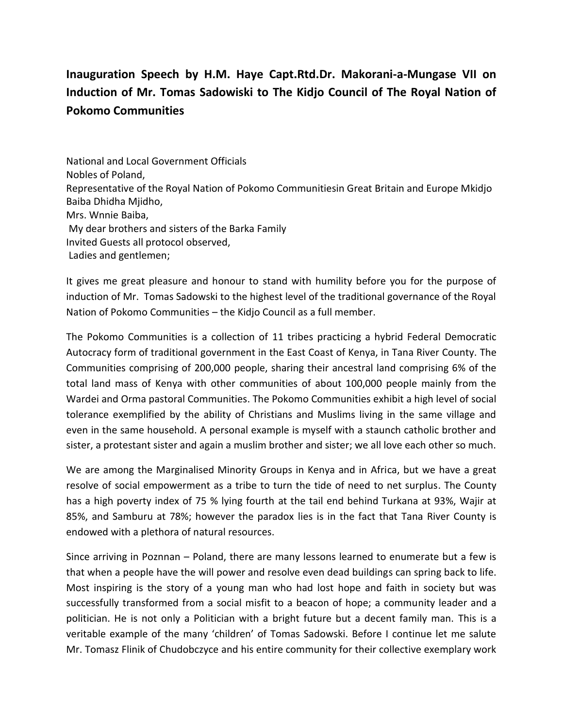## **Inauguration Speech by H.M. Haye Capt.Rtd.Dr. Makorani-a-Mungase VII on Induction of Mr. Tomas Sadowiski to The Kidjo Council of The Royal Nation of Pokomo Communities**

National and Local Government Officials Nobles of Poland, Representative of the Royal Nation of Pokomo Communitiesin Great Britain and Europe Mkidjo Baiba Dhidha Mjidho, Mrs. Wnnie Baiba, My dear brothers and sisters of the Barka Family Invited Guests all protocol observed, Ladies and gentlemen;

It gives me great pleasure and honour to stand with humility before you for the purpose of induction of Mr. Tomas Sadowski to the highest level of the traditional governance of the Royal Nation of Pokomo Communities – the Kidjo Council as a full member.

The Pokomo Communities is a collection of 11 tribes practicing a hybrid Federal Democratic Autocracy form of traditional government in the East Coast of Kenya, in Tana River County. The Communities comprising of 200,000 people, sharing their ancestral land comprising 6% of the total land mass of Kenya with other communities of about 100,000 people mainly from the Wardei and Orma pastoral Communities. The Pokomo Communities exhibit a high level of social tolerance exemplified by the ability of Christians and Muslims living in the same village and even in the same household. A personal example is myself with a staunch catholic brother and sister, a protestant sister and again a muslim brother and sister; we all love each other so much.

We are among the Marginalised Minority Groups in Kenya and in Africa, but we have a great resolve of social empowerment as a tribe to turn the tide of need to net surplus. The County has a high poverty index of 75 % lying fourth at the tail end behind Turkana at 93%, Wajir at 85%, and Samburu at 78%; however the paradox lies is in the fact that Tana River County is endowed with a plethora of natural resources.

Since arriving in Poznnan – Poland, there are many lessons learned to enumerate but a few is that when a people have the will power and resolve even dead buildings can spring back to life. Most inspiring is the story of a young man who had lost hope and faith in society but was successfully transformed from a social misfit to a beacon of hope; a community leader and a politician. He is not only a Politician with a bright future but a decent family man. This is a veritable example of the many 'children' of Tomas Sadowski. Before I continue let me salute Mr. Tomasz Flinik of Chudobczyce and his entire community for their collective exemplary work